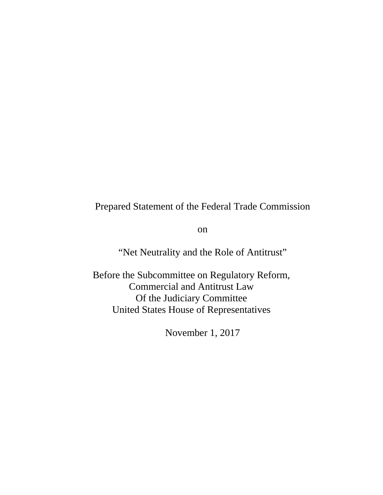# Prepared Statement of the Federal Trade Commission

on

"Net Neutrality and the Role of Antitrust"

Before the Subcommittee on Regulatory Reform, Commercial and Antitrust Law Of the Judiciary Committee United States House of Representatives

November 1, 2017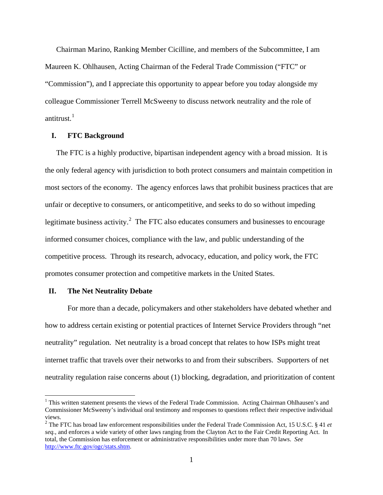Chairman Marino, Ranking Member Cicilline, and members of the Subcommittee, I am Maureen K. Ohlhausen, Acting Chairman of the Federal Trade Commission ("FTC" or "Commission"), and I appreciate this opportunity to appear before you today alongside my colleague Commissioner Terrell McSweeny to discuss network neutrality and the role of antitrust.<sup>[1](#page-1-0)</sup>

## **I. FTC Background**

The FTC is a highly productive, bipartisan independent agency with a broad mission. It is the only federal agency with jurisdiction to both protect consumers and maintain competition in most sectors of the economy. The agency enforces laws that prohibit business practices that are unfair or deceptive to consumers, or anticompetitive, and seeks to do so without impeding legitimate business activity.<sup>[2](#page-1-1)</sup> The FTC also educates consumers and businesses to encourage informed consumer choices, compliance with the law, and public understanding of the competitive process. Through its research, advocacy, education, and policy work, the FTC promotes consumer protection and competitive markets in the United States.

### **II. The Net Neutrality Debate**

 $\overline{a}$ 

For more than a decade, policymakers and other stakeholders have debated whether and how to address certain existing or potential practices of Internet Service Providers through "net neutrality" regulation. Net neutrality is a broad concept that relates to how ISPs might treat internet traffic that travels over their networks to and from their subscribers. Supporters of net neutrality regulation raise concerns about (1) blocking, degradation, and prioritization of content

<span id="page-1-0"></span> $1$  This written statement presents the views of the Federal Trade Commission. Acting Chairman Ohlhausen's and Commissioner McSweeny's individual oral testimony and responses to questions reflect their respective individual views. 2 The FTC has broad law enforcement responsibilities under the Federal Trade Commission Act, 15 U.S.C. § 41 *et* 

<span id="page-1-1"></span>*seq.*, and enforces a wide variety of other laws ranging from the Clayton Act to the Fair Credit Reporting Act. In total, the Commission has enforcement or administrative responsibilities under more than 70 laws. *See* [http://www.ftc.gov/ogc/stats.shtm.](http://www.ftc.gov/ogc/stats.shtm)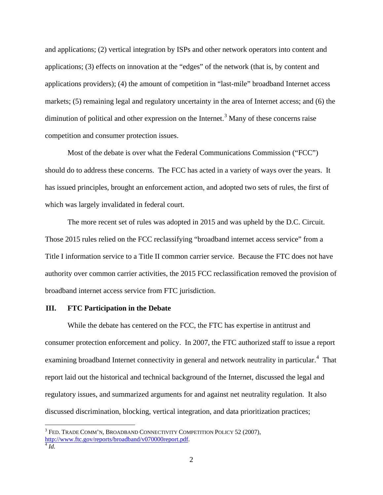and applications; (2) vertical integration by ISPs and other network operators into content and applications; (3) effects on innovation at the "edges" of the network (that is, by content and applications providers); (4) the amount of competition in "last-mile" broadband Internet access markets; (5) remaining legal and regulatory uncertainty in the area of Internet access; and (6) the diminution of political and other expression on the Internet.<sup>[3](#page-2-0)</sup> Many of these concerns raise competition and consumer protection issues.

Most of the debate is over what the Federal Communications Commission ("FCC") should do to address these concerns. The FCC has acted in a variety of ways over the years. It has issued principles, brought an enforcement action, and adopted two sets of rules, the first of which was largely invalidated in federal court.

The more recent set of rules was adopted in 2015 and was upheld by the D.C. Circuit. Those 2015 rules relied on the FCC reclassifying "broadband internet access service" from a Title I information service to a Title II common carrier service. Because the FTC does not have authority over common carrier activities, the 2015 FCC reclassification removed the provision of broadband internet access service from FTC jurisdiction.

### **III. FTC Participation in the Debate**

While the debate has centered on the FCC, the FTC has expertise in antitrust and consumer protection enforcement and policy. In 2007, the FTC authorized staff to issue a report examining broadband Internet connectivity in general and network neutrality in particular.<sup>[4](#page-2-1)</sup> That report laid out the historical and technical background of the Internet, discussed the legal and regulatory issues, and summarized arguments for and against net neutrality regulation. It also discussed discrimination, blocking, vertical integration, and data prioritization practices;

<span id="page-2-0"></span> $3$  Fed. Trade Comm'n, Broadband Connectivity Competition Policy 52 (2007), [http://www.ftc.gov/reports/broadband/v070000report.pdf.](http://www.ftc.gov/reports/broadband/v070000report.pdf) <sup>4</sup> *Id.*

<span id="page-2-1"></span>